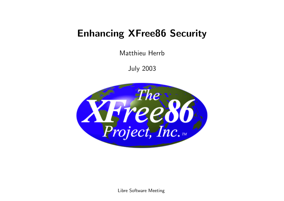### Enhancing XFree86 Security

Matthieu Herrb

July 2003



Libre Software Meeting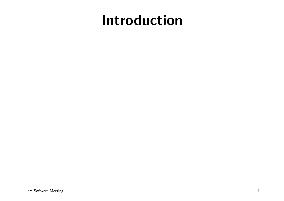## Introduction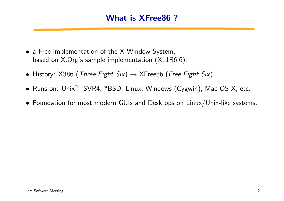### What is XFree86 ?

- a Free implementation of the X Window System, based on X.Org's sample implementation (X11R6.6).
- History: X386 (Three Eight Six)  $\rightarrow$  XFree86 (Free Eight Six)
- Runs on: Unix™, SVR4, \*BSD, Linux, Windows (Cygwin), Mac OS X, etc.
- Foundation for most modern GUIs and Desktops on Linux/Unix-like systems.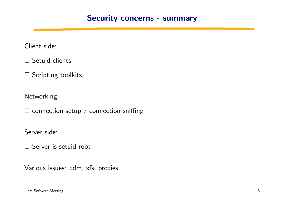### Security concerns - summary

Client side:

 $\square$  Setuid clients

 $\square$  Scripting toolkits

Networking:

 $\square$  connection setup / connection sniffing

Server side:

□ Server is setuid root

Various issues: xdm, xfs, proxies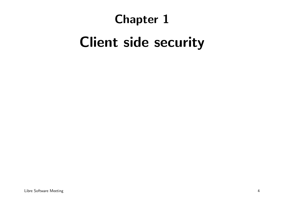### Chapter 1

# Client side security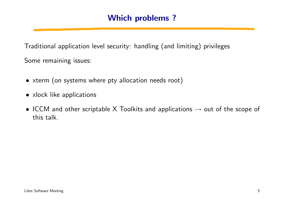### Which problems ?

Traditional application level security: handling (and limiting) privileges

Some remaining issues:

- xterm (on systems where pty allocation needs root)
- xlock like applications
- ICCM and other scriptable X Toolkits and applications  $\rightarrow$  out of the scope of this talk.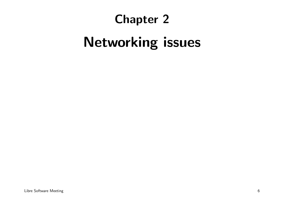### Chapter 2

# Networking issues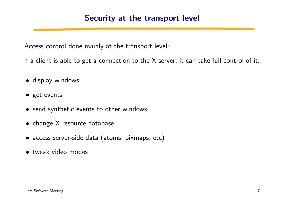### Security at the transport level

Access control done mainly at the transport level:

if a client is able to get a connection to the  $X$  server, it can take full control of it:

- display windows
- get events
- send synthetic events to other windows
- change X resource database
- access server-side data (atoms, pixmaps, etc)
- tweak video modes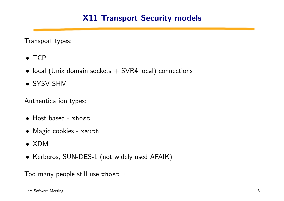### X11 Transport Security models

Transport types:

- TCP
- local (Unix domain sockets  $+$  SVR4 local) connections
- SYSV SHM

Authentication types:

- Host based xhost
- Magic cookies xauth
- XDM
- Kerberos, SUN-DES-1 (not widely used AFAIK)

Too many people still use  $x$ host  $+ \dots$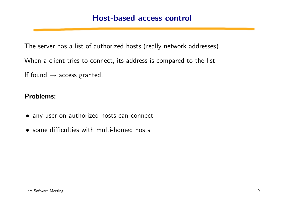### Host-based access control

The server has a list of authorized hosts (really network addresses).

When a client tries to connect, its address is compared to the list.

If found  $\rightarrow$  access granted.

#### Problems:

- any user on authorized hosts can connect
- some difficulties with multi-homed hosts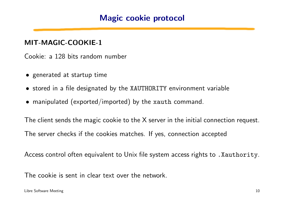### Magic cookie protocol

#### MIT-MAGIC-COOKIE-1

Cookie: a 128 bits random number

- generated at startup time
- stored in a file designated by the XAUTHORITY environment variable
- manipulated (exported/imported) by the xauth command.

The client sends the magic cookie to the X server in the initial connection request. The server checks if the cookies matches. If yes, connection accepted

Access control often equivalent to Unix file system access rights to .Xauthority.

The cookie is sent in clear text over the network.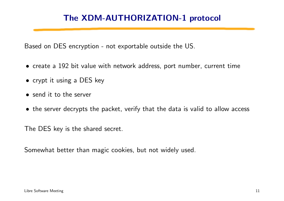### The XDM-AUTHORIZATION-1 protocol

Based on DES encryption - not exportable outside the US.

- create a 192 bit value with network address, port number, current time
- crypt it using a DES key
- send it to the server
- the server decrypts the packet, verify that the data is valid to allow access

The DES key is the shared secret.

Somewhat better than magic cookies, but not widely used.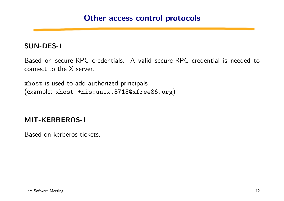### Other access control protocols

#### SUN-DES-1

Based on secure-RPC credentials. A valid secure-RPC credential is needed to connect to the X server.

xhost is used to add authorized principals (example: xhost +nis:unix.3715@xfree86.org)

### MIT-KERBEROS-1

Based on kerberos tickets.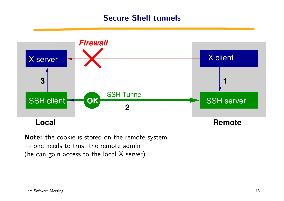### Secure Shell tunnels



Note: the cookie is stored on the remote system  $\rightarrow$  one needs to trust the remote admin (he can gain access to the local X server).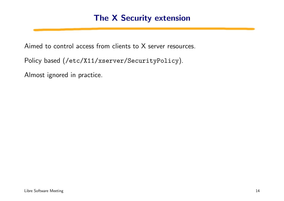### The X Security extension

Aimed to control access from clients to X server resources.

Policy based (/etc/X11/xserver/SecurityPolicy).

Almost ignored in practice.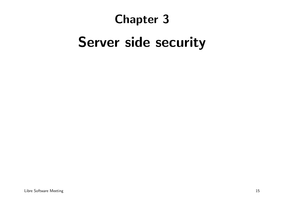### Chapter 3

### Server side security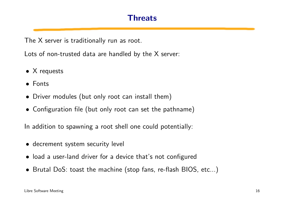### Threats

The X server is traditionally run as root.

Lots of non-trusted data are handled by the X server:

- X requests
- Fonts
- Driver modules (but only root can install them)
- Configuration file (but only root can set the pathname)

In addition to spawning a root shell one could potentially:

- decrement system security level
- load a user-land driver for a device that's not configured
- Brutal DoS: toast the machine (stop fans, re-flash BIOS, etc...)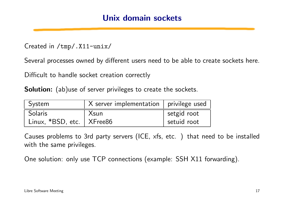### Unix domain sockets

Created in /tmp/.X11-unix/

Several processes owned by different users need to be able to create sockets here.

Difficult to handle socket creation correctly

Solution: (ab) use of server privileges to create the sockets.

| System                      | X server implementation   privilege used |             |
|-----------------------------|------------------------------------------|-------------|
| Solaris                     | Xsun                                     | setgid root |
| Linux. *BSD, etc.   XFree86 |                                          | setuid root |

Causes problems to 3rd party servers (ICE, xfs, etc. ) that need to be installed with the same privileges.

One solution: only use TCP connections (example: SSH X11 forwarding).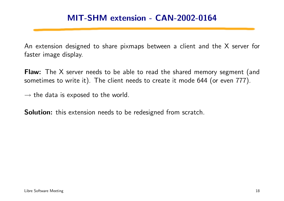### MIT-SHM extension - CAN-2002-0164

An extension designed to share pixmaps between a client and the X server for faster image display.

Flaw: The X server needs to be able to read the shared memory segment (and sometimes to write it). The client needs to create it mode 644 (or even 777).

 $\rightarrow$  the data is exposed to the world.

Solution: this extension needs to be redesigned from scratch.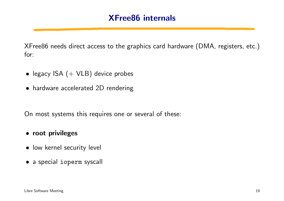XFree86 needs direct access to the graphics card hardware (DMA, registers, etc.) for:

- legacy ISA  $(+$  VLB) device probes
- hardware accelerated 2D rendering

On most systems this requires one or several of these:

#### • root privileges

- low kernel security level
- a special ioperm syscall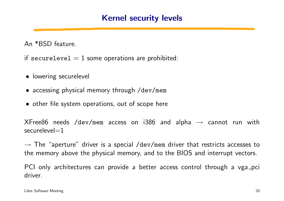### Kernel security levels

An \*BSD feature.

if securelevel  $= 1$  some operations are prohibited:

- lowering securelevel
- accessing physical memory through /dev/mem
- other file system operations, out of scope here

 $X$ Free86 needs /dev/mem access on i386 and alpha  $\rightarrow$  cannot run with  $securelevel=1$ 

 $\rightarrow$  The "aperture" driver is a special /dev/mem driver that restricts accesses to the memory above the physical memory, and to the BIOS and interrupt vectors.

PCI only architectures can provide a better access control through a vga pci driver.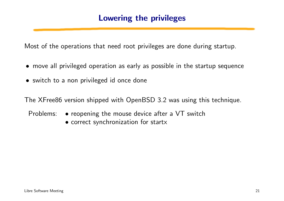### Lowering the privileges

Most of the operations that need root privileges are done during startup.

- move all privileged operation as early as possible in the startup sequence
- switch to a non privileged id once done

The XFree86 version shipped with OpenBSD 3.2 was using this technique.

Problems: • reopening the mouse device after a VT switch

• correct synchronization for startx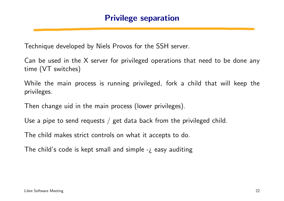Technique developed by Niels Provos for the SSH server.

Can be used in the X server for privileged operations that need to be done any time (VT switches)

While the main process is running privileged, fork a child that will keep the privileges.

Then change uid in the main process (lower privileges).

Use a pipe to send requests  $\ell$  get data back from the privileged child.

The child makes strict controls on what it accepts to do.

The child's code is kept small and simple  $-i$  easy auditing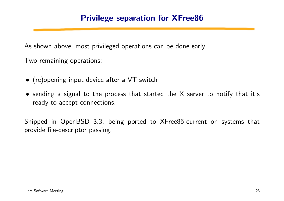### Privilege separation for XFree86

As shown above, most privileged operations can be done early

Two remaining operations:

- (re)opening input device after a VT switch
- sending a signal to the process that started the X server to notify that it's ready to accept connections.

Shipped in OpenBSD 3.3, being ported to XFree86-current on systems that provide file-descriptor passing.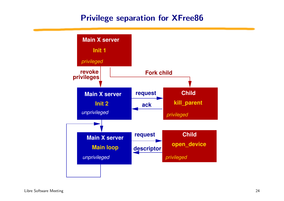### Privilege separation for XFree86

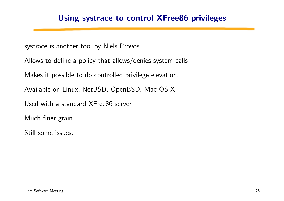### Using systrace to control XFree86 privileges

systrace is another tool by Niels Provos.

Allows to define a policy that allows/denies system calls

Makes it possible to do controlled privilege elevation.

Available on Linux, NetBSD, OpenBSD, Mac OS X.

Used with a standard XFree86 server

Much finer grain.

Still some issues.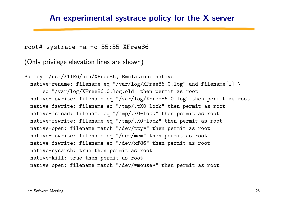#### An experimental systrace policy for the X server

root# systrace -a -c 35:35 XFree86

(Only privilege elevation lines are shown)

Policy: /usr/X11R6/bin/XFree86, Emulation: native native-rename: filename eq "/var/log/XFree86.0.log" and filename $[1]$  \ eq "/var/log/XFree86.0.log.old" then permit as root native-fswrite: filename eq "/var/log/XFree86.0.log" then permit as root native-fswrite: filename eq "/tmp/.tX0-lock" then permit as root native-fsread: filename eq "/tmp/.X0-lock" then permit as root native-fswrite: filename eq "/tmp/.X0-lock" then permit as root native-open: filename match "/dev/tty\*" then permit as root native-fswrite: filename eq "/dev/mem" then permit as root native-fswrite: filename eq "/dev/xf86" then permit as root native-sysarch: true then permit as root native-kill: true then permit as root native-open: filename match "/dev/\*mouse\*" then permit as root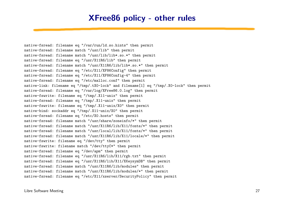### XFree86 policy - other rules

native-fsread: filename eq "/var/run/ld.so.hints" then permit native-fsread: filename match "/usr/lib" then permit native-fsread: filename match "/usr/lib/lib\*.so.\*" then permit native-fsread: filename eq "/usr/X11R6/lib" then permit native-fsread: filename match "/usr/X11R6/lib/lib\*.so.\*" then permit native-fsread: filename eq "/etc/X11/XF86Config" then permit native-fsread: filename eq "/etc/X11/XF86Config-4" then permit native-fsread: filename eq "/etc/malloc.conf" then permit native-link: filename eq "/tmp/.tX0-lock" and filename[1] eq "/tmp/.X0-lock" then permit native-fsread: filename eq "/var/log/XFree86.0.log" then permit native-fswrite: filename eq "/tmp/.X11-unix" then permit native-fsread: filename eq "/tmp/.X11-unix" then permit native-fswrite: filename eq "/tmp/.X11-unix/X0" then permit native-bind: sockaddr eq "/tmp/.X11-unix/X0" then permit native-fsread: filename eq "/etc/X0.hosts" then permit native-fsread: filename match "/usr/share/zoneinfo/\*" then permit native-fsread: filename match "/usr/X11R6/lib/X11/fonts/\*" then permit native-fsread: filename match "/usr/local/lib/X11/fonts/\*" then permit native-fsread: filename match "/usr/X11R6/lib/X11/locale/\*" then permit native-fswrite: filename eq "/dev/tty" then permit native-fswrite: filename match "/dev/ttyC\*" then permit native-fsread: filename eq "/dev/apm" then permit native-fsread: filename eq "/usr/X11R6/lib/X11/rgb.txt" then permit native-fsread: filename eq "/usr/X11R6/lib/X11/XKeysymDB" then permit native-fsread: filename match "/usr/X11R6/lib/modules" then permit native-fsread: filename match "/usr/X11R6/lib/modules/\*" then permit native-fsread: filename eq "/etc/X11/xserver/SecurityPolicy" then permit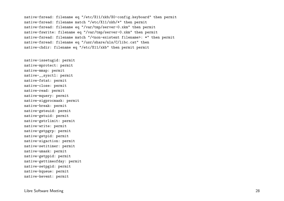native-fsread: filename eq "/etc/X11/xkb/X0-config.keyboard" then permit native-fsread: filename match "/etc/X11/xkb/\*" then permit native-fsread: filename eq "/var/tmp/server-0.xkm" then permit native-fswrite: filename eq "/var/tmp/server-0.xkm" then permit native-fsread: filename match "/<non-existent filename>: \*" then permit native-fsread: filename eq "/usr/share/nls/C/libc.cat" then native-chdir: filename eq "/etc/X11/xkb" then permit permit

native-issetugid: permit native-mprotect: permit native-mmap: permit native-\_\_sysctl: permit native-fstat: permit native-close: permit native-read: permit native-mquery: permit native-sigprocmask: permit native-break: permit native-geteuid: permit native-getuid: permit native-getrlimit: permit native-write: permit native-getpgrp: permit native-getpid: permit native-sigaction: permit native-setitimer: permit native-umask: permit native-getppid: permit native-gettimeofday: permit native-setpgid: permit native-kqueue: permit native-kevent: permit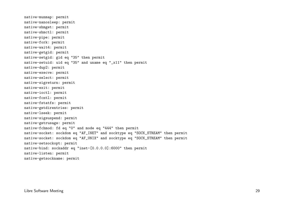```
native-munmap: permit
native-nanosleep: permit
native-shmget: permit
native-shmctl: permit
native-pipe: permit
native-fork: permit
native-wait4: permit
native-getgid: permit
native-setgid: gid eq "35" then permit
native-setuid: uid eq "35" and uname eq "_x11" then permit
native-dup2: permit
native-execve: permit
native-select: permit
native-sigreturn: permit
native-exit: permit
native-ioctl: permit
native-fcntl: permit
native-fstatfs: permit
native-getdirentries: permit
native-lseek: permit
native-sigsuspend: permit
native-getrusage: permit
native-fchmod: fd eq "0" and mode eq "444" then permit
native-socket: sockdom eq "AF_INET" and socktype eq "SOCK_STREAM" then permit
native-socket: sockdom eq "AF_UNIX" and socktype eq "SOCK_STREAM" then permit
native-setsockopt: permit
native-bind: sockaddr eq "inet-[0.0.0.0]:6000" then permit
native-listen: permit
native-getsockname: permit
```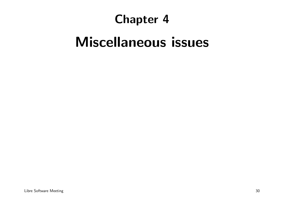### Chapter 4

# Miscellaneous issues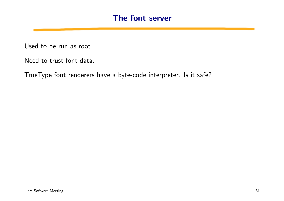### The font server

Used to be run as root.

Need to trust font data.

TrueType font renderers have a byte-code interpreter. Is it safe?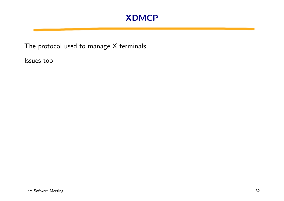### XDMCP

The protocol used to manage X terminals

Issues too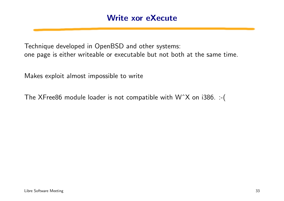Technique developed in OpenBSD and other systems: one page is either writeable or executable but not both at the same time.

Makes exploit almost impossible to write

The XFree86 module loader is not compatible with WˆX on i386. :-(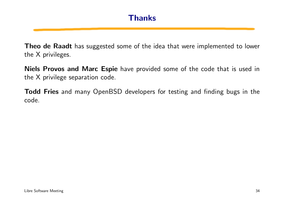Theo de Raadt has suggested some of the idea that were implemented to lower the X privileges.

Niels Provos and Marc Espie have provided some of the code that is used in the X privilege separation code.

Todd Fries and many OpenBSD developers for testing and finding bugs in the code.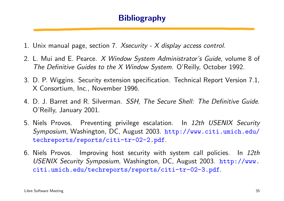### **Bibliography**

- 1. Unix manual page, section 7. Xsecurity X display access control.
- 2. L. Mui and E. Pearce. X Window System Administrator's Guide, volume 8 of The Definitive Guides to the X Window System. O'Reilly, October 1992.
- 3. D. P. Wiggins. Security extension specification. Technical Report Version 7.1, X Consortium, Inc., November 1996.
- 4. D. J. Barret and R. Silverman. SSH, The Secure Shell: The Definitive Guide. O'Reilly, January 2001.
- 5. Niels Provos. Preventing privilege escalation. In 12th USENIX Security Symposium, Washington, DC, August 2003. [http://www.citi.umich.edu/](http://www.citi.umich.edu/techreports/reports/citi-tr-02-2.pdf) [techreports/reports/citi-tr-02-2.pdf](http://www.citi.umich.edu/techreports/reports/citi-tr-02-2.pdf).
- 6. Niels Provos. Improving host security with system call policies. In 12th USENIX Security Symposium, Washington, DC, August 2003. [http://www.](http://www.citi.umich.edu/techreports/reports/citi-tr-02-3.pdf) [citi.umich.edu/techreports/reports/citi-tr-02-3.pdf](http://www.citi.umich.edu/techreports/reports/citi-tr-02-3.pdf).